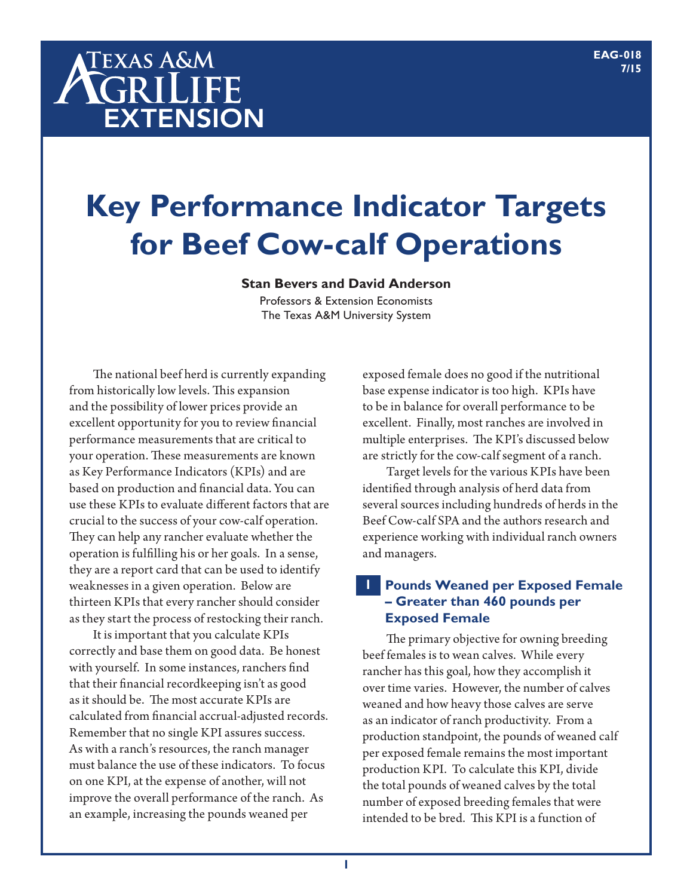# **TEXAS A&M** AGRILIFE **EXTENSION**

# **Key Performance Indicator Targets for Beef Cow-calf Operations**

#### **Stan Bevers and David Anderson**

Professors & Extension Economists The Texas A&M University System

The national beef herd is currently expanding from historically low levels. This expansion and the possibility of lower prices provide an excellent opportunity for you to review financial performance measurements that are critical to your operation. These measurements are known as Key Performance Indicators (KPIs) and are based on production and financial data. You can use these KPIs to evaluate different factors that are crucial to the success of your cow-calf operation. They can help any rancher evaluate whether the operation is fulfilling his or her goals. In a sense, they are a report card that can be used to identify weaknesses in a given operation. Below are thirteen KPIs that every rancher should consider as they start the process of restocking their ranch.

It is important that you calculate KPIs correctly and base them on good data. Be honest with yourself. In some instances, ranchers find that their financial recordkeeping isn't as good as it should be. The most accurate KPIs are calculated from financial accrual-adjusted records. Remember that no single KPI assures success. As with a ranch's resources, the ranch manager must balance the use of these indicators. To focus on one KPI, at the expense of another, will not improve the overall performance of the ranch. As an example, increasing the pounds weaned per

exposed female does no good if the nutritional base expense indicator is too high. KPIs have to be in balance for overall performance to be excellent. Finally, most ranches are involved in multiple enterprises. The KPI's discussed below are strictly for the cow-calf segment of a ranch.

Target levels for the various KPIs have been identified through analysis of herd data from several sources including hundreds of herds in the Beef Cow-calf SPA and the authors research and experience working with individual ranch owners and managers.

#### **Pounds Weaned per Exposed Female – Greater than 460 pounds per Exposed Female 1**

The primary objective for owning breeding beef females is to wean calves. While every rancher has this goal, how they accomplish it over time varies. However, the number of calves weaned and how heavy those calves are serve as an indicator of ranch productivity. From a production standpoint, the pounds of weaned calf per exposed female remains the most important production KPI. To calculate this KPI, divide the total pounds of weaned calves by the total number of exposed breeding females that were intended to be bred. This KPI is a function of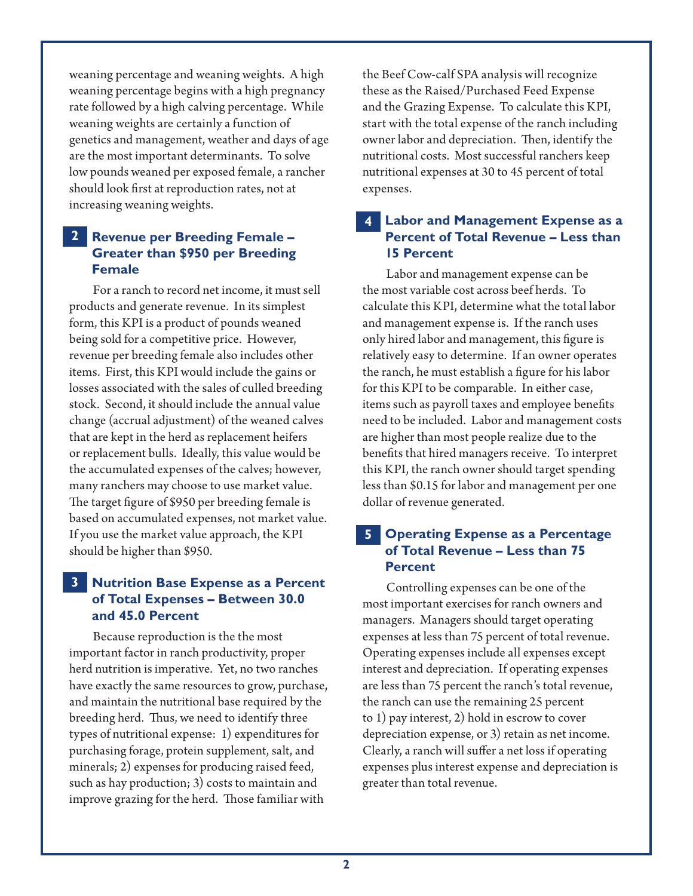weaning percentage and weaning weights. A high weaning percentage begins with a high pregnancy rate followed by a high calving percentage. While weaning weights are certainly a function of genetics and management, weather and days of age are the most important determinants. To solve low pounds weaned per exposed female, a rancher should look first at reproduction rates, not at increasing weaning weights.

# **Revenue per Breeding Female – 2 Greater than \$950 per Breeding Female**

For a ranch to record net income, it must sell products and generate revenue. In its simplest form, this KPI is a product of pounds weaned being sold for a competitive price. However, revenue per breeding female also includes other items. First, this KPI would include the gains or losses associated with the sales of culled breeding stock. Second, it should include the annual value change (accrual adjustment) of the weaned calves that are kept in the herd as replacement heifers or replacement bulls. Ideally, this value would be the accumulated expenses of the calves; however, many ranchers may choose to use market value. The target figure of \$950 per breeding female is based on accumulated expenses, not market value. If you use the market value approach, the KPI should be higher than \$950.

# **Nutrition Base Expense as a Percent 3 of Total Expenses – Between 30.0 and 45.0 Percent**

Because reproduction is the the most important factor in ranch productivity, proper herd nutrition is imperative. Yet, no two ranches have exactly the same resources to grow, purchase, and maintain the nutritional base required by the breeding herd. Thus, we need to identify three types of nutritional expense: 1) expenditures for purchasing forage, protein supplement, salt, and minerals; 2) expenses for producing raised feed, such as hay production; 3) costs to maintain and improve grazing for the herd. Those familiar with

the Beef Cow-calf SPA analysis will recognize these as the Raised/Purchased Feed Expense and the Grazing Expense. To calculate this KPI, start with the total expense of the ranch including owner labor and depreciation. Then, identify the nutritional costs. Most successful ranchers keep nutritional expenses at 30 to 45 percent of total expenses.

### **Labor and Management Expense as a 4 Percent of Total Revenue – Less than 15 Percent**

Labor and management expense can be the most variable cost across beef herds. To calculate this KPI, determine what the total labor and management expense is. If the ranch uses only hired labor and management, this figure is relatively easy to determine. If an owner operates the ranch, he must establish a figure for his labor for this KPI to be comparable. In either case, items such as payroll taxes and employee benefits need to be included. Labor and management costs are higher than most people realize due to the benefits that hired managers receive. To interpret this KPI, the ranch owner should target spending less than \$0.15 for labor and management per one dollar of revenue generated.

#### **Operating Expense as a Percentage of Total Revenue – Less than 75 Percent 5**

Controlling expenses can be one of the most important exercises for ranch owners and managers. Managers should target operating expenses at less than 75 percent of total revenue. Operating expenses include all expenses except interest and depreciation. If operating expenses are less than 75 percent the ranch's total revenue, the ranch can use the remaining 25 percent to 1) pay interest, 2) hold in escrow to cover depreciation expense, or 3) retain as net income. Clearly, a ranch will suffer a net loss if operating expenses plus interest expense and depreciation is greater than total revenue.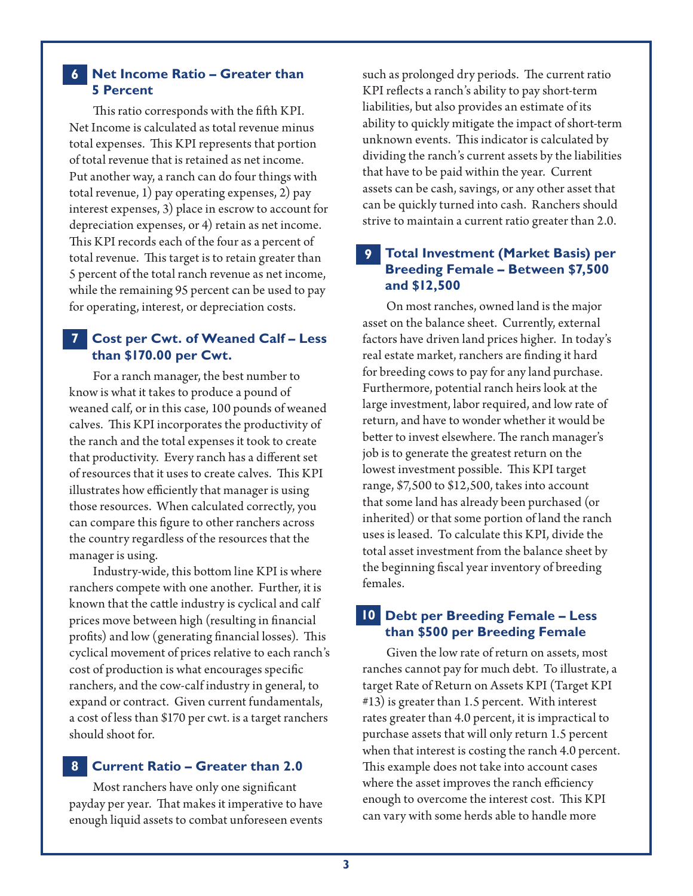#### **Net Income Ratio – Greater than 6 5 Percent**

This ratio corresponds with the fifth KPI. Net Income is calculated as total revenue minus total expenses. This KPI represents that portion of total revenue that is retained as net income. Put another way, a ranch can do four things with total revenue, 1) pay operating expenses, 2) pay interest expenses, 3) place in escrow to account for depreciation expenses, or 4) retain as net income. This KPI records each of the four as a percent of total revenue. This target is to retain greater than 5 percent of the total ranch revenue as net income, while the remaining 95 percent can be used to pay for operating, interest, or depreciation costs.

### **Cost per Cwt. of Weaned Calf – Less 7 than \$170.00 per Cwt.**

For a ranch manager, the best number to know is what it takes to produce a pound of weaned calf, or in this case, 100 pounds of weaned calves. This KPI incorporates the productivity of the ranch and the total expenses it took to create that productivity. Every ranch has a different set of resources that it uses to create calves. This KPI illustrates how efficiently that manager is using those resources. When calculated correctly, you can compare this figure to other ranchers across the country regardless of the resources that the manager is using.

Industry-wide, this bottom line KPI is where ranchers compete with one another. Further, it is known that the cattle industry is cyclical and calf prices move between high (resulting in financial profits) and low (generating financial losses). This cyclical movement of prices relative to each ranch's cost of production is what encourages specific ranchers, and the cow-calf industry in general, to expand or contract. Given current fundamentals, a cost of less than \$170 per cwt. is a target ranchers should shoot for.

#### **Current Ratio – Greater than 2.0 8**

Most ranchers have only one significant payday per year. That makes it imperative to have enough liquid assets to combat unforeseen events such as prolonged dry periods. The current ratio KPI reflects a ranch's ability to pay short-term liabilities, but also provides an estimate of its ability to quickly mitigate the impact of short-term unknown events. This indicator is calculated by dividing the ranch's current assets by the liabilities that have to be paid within the year. Current assets can be cash, savings, or any other asset that can be quickly turned into cash. Ranchers should strive to maintain a current ratio greater than 2.0.

#### **Total Investment (Market Basis) per 9 Breeding Female – Between \$7,500 and \$12,500**

On most ranches, owned land is the major asset on the balance sheet. Currently, external factors have driven land prices higher. In today's real estate market, ranchers are finding it hard for breeding cows to pay for any land purchase. Furthermore, potential ranch heirs look at the large investment, labor required, and low rate of return, and have to wonder whether it would be better to invest elsewhere. The ranch manager's job is to generate the greatest return on the lowest investment possible. This KPI target range, \$7,500 to \$12,500, takes into account that some land has already been purchased (or inherited) or that some portion of land the ranch uses is leased. To calculate this KPI, divide the total asset investment from the balance sheet by the beginning fiscal year inventory of breeding females.

#### **Debt per Breeding Female – Less 10 than \$500 per Breeding Female**

Given the low rate of return on assets, most ranches cannot pay for much debt. To illustrate, a target Rate of Return on Assets KPI (Target KPI #13) is greater than 1.5 percent. With interest rates greater than 4.0 percent, it is impractical to purchase assets that will only return 1.5 percent when that interest is costing the ranch 4.0 percent. This example does not take into account cases where the asset improves the ranch efficiency enough to overcome the interest cost. This KPI can vary with some herds able to handle more